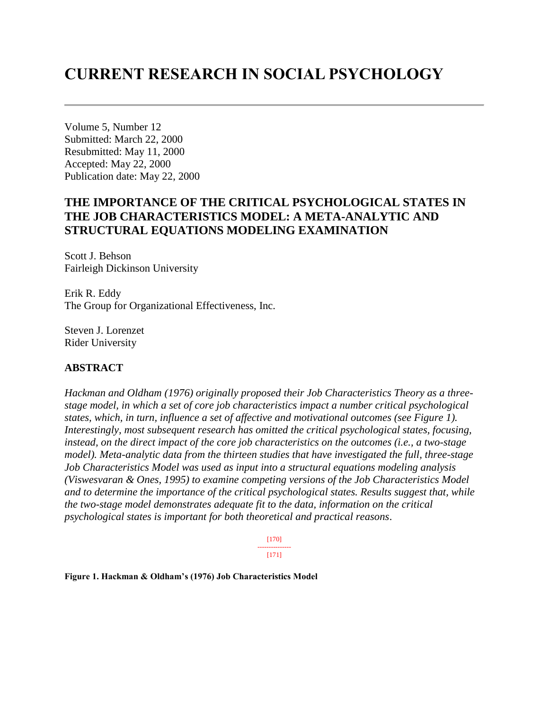# **CURRENT RESEARCH IN SOCIAL PSYCHOLOGY**

Volume 5, Number 12 Submitted: March 22, 2000 Resubmitted: May 11, 2000 Accepted: May 22, 2000 Publication date: May 22, 2000

# **THE IMPORTANCE OF THE CRITICAL PSYCHOLOGICAL STATES IN THE JOB CHARACTERISTICS MODEL: A META-ANALYTIC AND STRUCTURAL EQUATIONS MODELING EXAMINATION**

Scott J. Behson Fairleigh Dickinson University

Erik R. Eddy The Group for Organizational Effectiveness, Inc.

Steven J. Lorenzet Rider University

### **ABSTRACT**

*Hackman and Oldham (1976) originally proposed their Job Characteristics Theory as a threestage model, in which a set of core job characteristics impact a number critical psychological states, which, in turn, influence a set of affective and motivational outcomes (see Figure 1). Interestingly, most subsequent research has omitted the critical psychological states, focusing, instead, on the direct impact of the core job characteristics on the outcomes (i.e., a two-stage model). Meta-analytic data from the thirteen studies that have investigated the full, three-stage Job Characteristics Model was used as input into a structural equations modeling analysis (Viswesvaran & Ones, 1995) to examine competing versions of the Job Characteristics Model and to determine the importance of the critical psychological states. Results suggest that, while the two-stage model demonstrates adequate fit to the data, information on the critical psychological states is important for both theoretical and practical reasons*.

> [170] --------------- [171]

**Figure 1. Hackman & Oldham's (1976) Job Characteristics Model**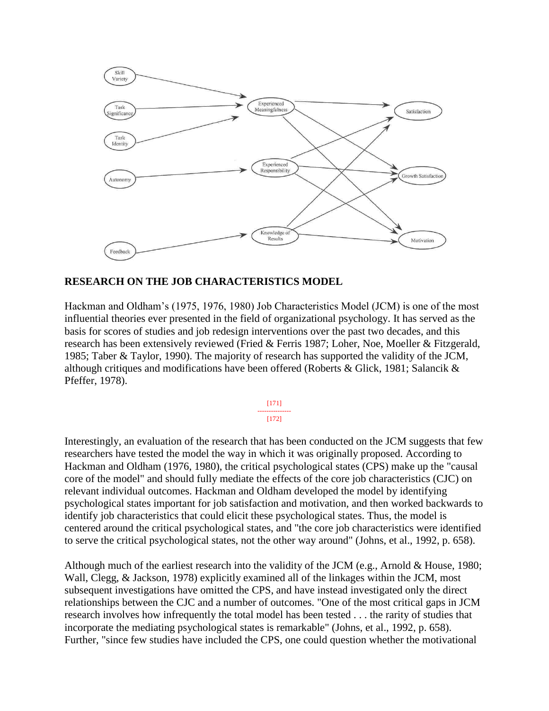

# **RESEARCH ON THE JOB CHARACTERISTICS MODEL**

Hackman and Oldham's (1975, 1976, 1980) Job Characteristics Model (JCM) is one of the most influential theories ever presented in the field of organizational psychology. It has served as the basis for scores of studies and job redesign interventions over the past two decades, and this research has been extensively reviewed (Fried & Ferris 1987; Loher, Noe, Moeller & Fitzgerald, 1985; Taber & Taylor, 1990). The majority of research has supported the validity of the JCM, although critiques and modifications have been offered (Roberts & Glick, 1981; Salancik & Pfeffer, 1978).

> [171] --------------- [172]

Interestingly, an evaluation of the research that has been conducted on the JCM suggests that few researchers have tested the model the way in which it was originally proposed. According to Hackman and Oldham (1976, 1980), the critical psychological states (CPS) make up the "causal core of the model" and should fully mediate the effects of the core job characteristics (CJC) on relevant individual outcomes. Hackman and Oldham developed the model by identifying psychological states important for job satisfaction and motivation, and then worked backwards to identify job characteristics that could elicit these psychological states. Thus, the model is centered around the critical psychological states, and "the core job characteristics were identified to serve the critical psychological states, not the other way around" (Johns, et al., 1992, p. 658).

Although much of the earliest research into the validity of the JCM (e.g., Arnold & House, 1980; Wall, Clegg, & Jackson, 1978) explicitly examined all of the linkages within the JCM, most subsequent investigations have omitted the CPS, and have instead investigated only the direct relationships between the CJC and a number of outcomes. "One of the most critical gaps in JCM research involves how infrequently the total model has been tested . . . the rarity of studies that incorporate the mediating psychological states is remarkable" (Johns, et al., 1992, p. 658). Further, "since few studies have included the CPS, one could question whether the motivational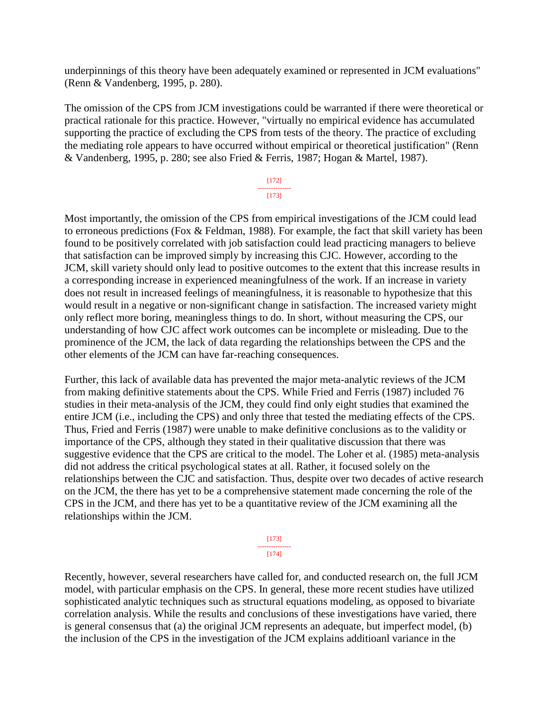underpinnings of this theory have been adequately examined or represented in JCM evaluations" (Renn & Vandenberg, 1995, p. 280).

The omission of the CPS from JCM investigations could be warranted if there were theoretical or practical rationale for this practice. However, "virtually no empirical evidence has accumulated supporting the practice of excluding the CPS from tests of the theory. The practice of excluding the mediating role appears to have occurred without empirical or theoretical justification" (Renn & Vandenberg, 1995, p. 280; see also Fried & Ferris, 1987; Hogan & Martel, 1987).

> [172] --------------- [173]

Most importantly, the omission of the CPS from empirical investigations of the JCM could lead to erroneous predictions (Fox & Feldman, 1988). For example, the fact that skill variety has been found to be positively correlated with job satisfaction could lead practicing managers to believe that satisfaction can be improved simply by increasing this CJC. However, according to the JCM, skill variety should only lead to positive outcomes to the extent that this increase results in a corresponding increase in experienced meaningfulness of the work. If an increase in variety does not result in increased feelings of meaningfulness, it is reasonable to hypothesize that this would result in a negative or non-significant change in satisfaction. The increased variety might only reflect more boring, meaningless things to do. In short, without measuring the CPS, our understanding of how CJC affect work outcomes can be incomplete or misleading. Due to the prominence of the JCM, the lack of data regarding the relationships between the CPS and the other elements of the JCM can have far-reaching consequences.

Further, this lack of available data has prevented the major meta-analytic reviews of the JCM from making definitive statements about the CPS. While Fried and Ferris (1987) included 76 studies in their meta-analysis of the JCM, they could find only eight studies that examined the entire JCM (i.e., including the CPS) and only three that tested the mediating effects of the CPS. Thus, Fried and Ferris (1987) were unable to make definitive conclusions as to the validity or importance of the CPS, although they stated in their qualitative discussion that there was suggestive evidence that the CPS are critical to the model. The Loher et al. (1985) meta-analysis did not address the critical psychological states at all. Rather, it focused solely on the relationships between the CJC and satisfaction. Thus, despite over two decades of active research on the JCM, the there has yet to be a comprehensive statement made concerning the role of the CPS in the JCM, and there has yet to be a quantitative review of the JCM examining all the relationships within the JCM.

> [173] --------------- [174]

Recently, however, several researchers have called for, and conducted research on, the full JCM model, with particular emphasis on the CPS. In general, these more recent studies have utilized sophisticated analytic techniques such as structural equations modeling, as opposed to bivariate correlation analysis. While the results and conclusions of these investigations have varied, there is general consensus that (a) the original JCM represents an adequate, but imperfect model, (b) the inclusion of the CPS in the investigation of the JCM explains additioanl variance in the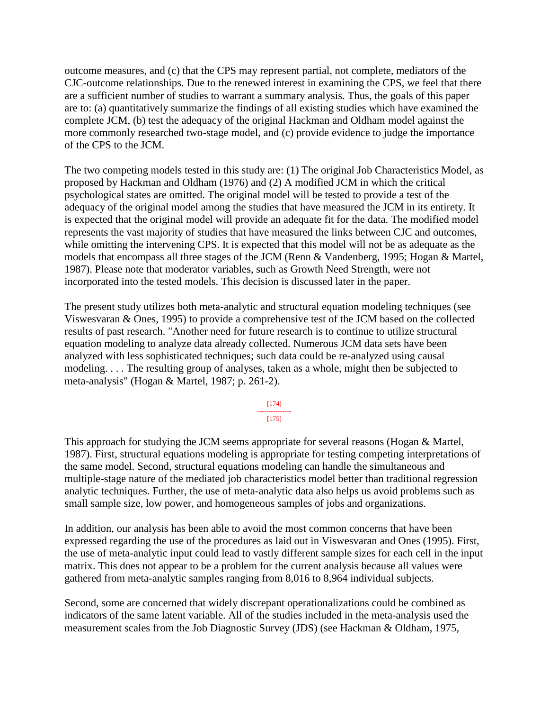outcome measures, and (c) that the CPS may represent partial, not complete, mediators of the CJC-outcome relationships. Due to the renewed interest in examining the CPS, we feel that there are a sufficient number of studies to warrant a summary analysis. Thus, the goals of this paper are to: (a) quantitatively summarize the findings of all existing studies which have examined the complete JCM, (b) test the adequacy of the original Hackman and Oldham model against the more commonly researched two-stage model, and (c) provide evidence to judge the importance of the CPS to the JCM.

The two competing models tested in this study are: (1) The original Job Characteristics Model, as proposed by Hackman and Oldham (1976) and (2) A modified JCM in which the critical psychological states are omitted. The original model will be tested to provide a test of the adequacy of the original model among the studies that have measured the JCM in its entirety. It is expected that the original model will provide an adequate fit for the data. The modified model represents the vast majority of studies that have measured the links between CJC and outcomes, while omitting the intervening CPS. It is expected that this model will not be as adequate as the models that encompass all three stages of the JCM (Renn & Vandenberg, 1995; Hogan & Martel, 1987). Please note that moderator variables, such as Growth Need Strength, were not incorporated into the tested models. This decision is discussed later in the paper.

The present study utilizes both meta-analytic and structural equation modeling techniques (see Viswesvaran & Ones, 1995) to provide a comprehensive test of the JCM based on the collected results of past research. "Another need for future research is to continue to utilize structural equation modeling to analyze data already collected. Numerous JCM data sets have been analyzed with less sophisticated techniques; such data could be re-analyzed using causal modeling. . . . The resulting group of analyses, taken as a whole, might then be subjected to meta-analysis" (Hogan & Martel, 1987; p. 261-2).

> [174] --------------- [175]

This approach for studying the JCM seems appropriate for several reasons (Hogan & Martel, 1987). First, structural equations modeling is appropriate for testing competing interpretations of the same model. Second, structural equations modeling can handle the simultaneous and multiple-stage nature of the mediated job characteristics model better than traditional regression analytic techniques. Further, the use of meta-analytic data also helps us avoid problems such as small sample size, low power, and homogeneous samples of jobs and organizations.

In addition, our analysis has been able to avoid the most common concerns that have been expressed regarding the use of the procedures as laid out in Viswesvaran and Ones (1995). First, the use of meta-analytic input could lead to vastly different sample sizes for each cell in the input matrix. This does not appear to be a problem for the current analysis because all values were gathered from meta-analytic samples ranging from 8,016 to 8,964 individual subjects.

Second, some are concerned that widely discrepant operationalizations could be combined as indicators of the same latent variable. All of the studies included in the meta-analysis used the measurement scales from the Job Diagnostic Survey (JDS) (see Hackman & Oldham, 1975,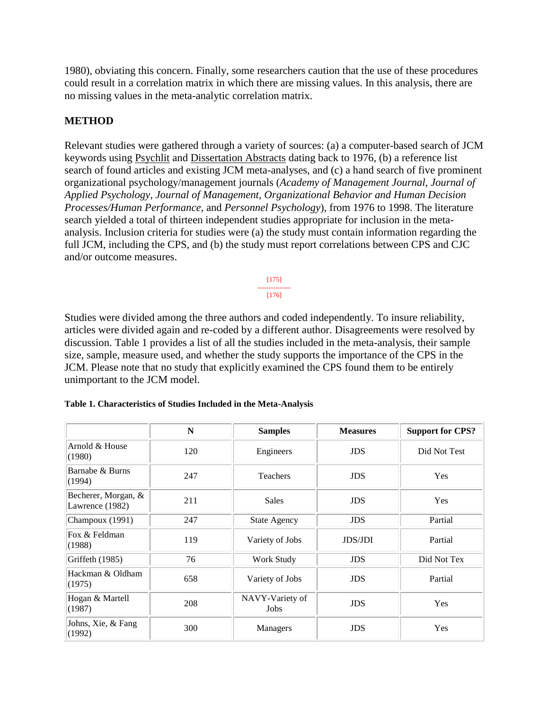1980), obviating this concern. Finally, some researchers caution that the use of these procedures could result in a correlation matrix in which there are missing values. In this analysis, there are no missing values in the meta-analytic correlation matrix.

# **METHOD**

Relevant studies were gathered through a variety of sources: (a) a computer-based search of JCM keywords using Psychlit and Dissertation Abstracts dating back to 1976, (b) a reference list search of found articles and existing JCM meta-analyses, and (c) a hand search of five prominent organizational psychology/management journals (*Academy of Management Journal, Journal of Applied Psychology, Journal of Management, Organizational Behavior and Human Decision Processes/Human Performance,* and *Personnel Psychology*), from 1976 to 1998. The literature search yielded a total of thirteen independent studies appropriate for inclusion in the metaanalysis. Inclusion criteria for studies were (a) the study must contain information regarding the full JCM, including the CPS, and (b) the study must report correlations between CPS and CJC and/or outcome measures.

> [175] --------------- [176]

Studies were divided among the three authors and coded independently. To insure reliability, articles were divided again and re-coded by a different author. Disagreements were resolved by discussion. Table 1 provides a list of all the studies included in the meta-analysis, their sample size, sample, measure used, and whether the study supports the importance of the CPS in the JCM. Please note that no study that explicitly examined the CPS found them to be entirely unimportant to the JCM model.

|                                        | N   | <b>Samples</b><br><b>Measures</b> |                | <b>Support for CPS?</b> |
|----------------------------------------|-----|-----------------------------------|----------------|-------------------------|
| Arnold & House<br>(1980)               | 120 | Engineers                         | <b>JDS</b>     | Did Not Test            |
| Barnabe & Burns<br>(1994)              | 247 | <b>Teachers</b>                   | <b>JDS</b>     | <b>Yes</b>              |
| Becherer, Morgan, &<br>Lawrence (1982) | 211 | <b>Sales</b>                      | <b>JDS</b>     | <b>Yes</b>              |
| Champoux (1991)                        | 247 | <b>State Agency</b>               | <b>JDS</b>     |                         |
| Fox & Feldman<br>(1988)                | 119 | Variety of Jobs                   | <b>JDS/JDI</b> | Partial                 |
| Griffeth (1985)                        | 76  | Work Study                        | <b>JDS</b>     | Did Not Tex             |
| Hackman & Oldham<br>(1975)             | 658 | Variety of Jobs                   | <b>JDS</b>     | Partial                 |
| Hogan & Martell<br>(1987)              | 208 | NAVY-Variety of<br>Jobs           | <b>JDS</b>     | <b>Yes</b>              |
| Johns, Xie, & Fang<br>(1992)           | 300 | Managers                          | <b>JDS</b>     | Yes                     |

| Table 1. Characteristics of Studies Included in the Meta-Analysis |
|-------------------------------------------------------------------|
|-------------------------------------------------------------------|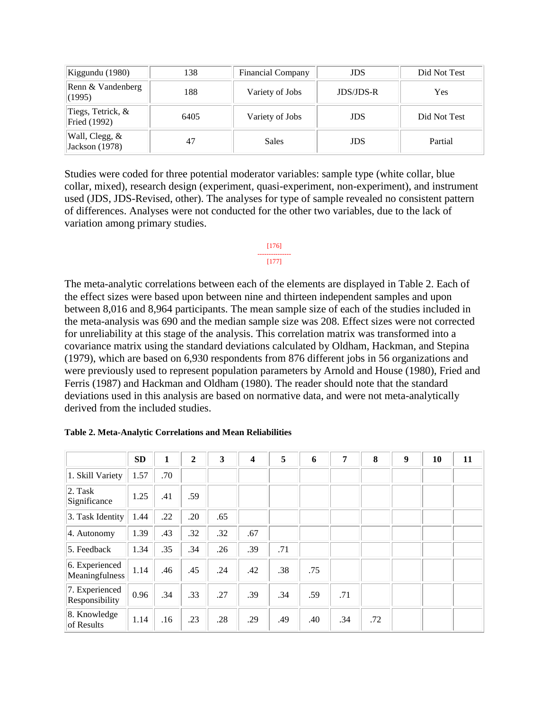| Kiggundu (1980)                   | 138  | <b>Financial Company</b> | <b>JDS</b>       | Did Not Test |
|-----------------------------------|------|--------------------------|------------------|--------------|
| Renn & Vandenberg<br>(1995)       | 188  | Variety of Jobs          | <b>JDS/JDS-R</b> | <b>Yes</b>   |
| Tiegs, Tetrick, &<br>Fried (1992) | 6405 | Variety of Jobs          | <b>JDS</b>       | Did Not Test |
| Wall, Clegg, &<br>Jackson (1978)  | 47   | Sales                    | <b>JDS</b>       | Partial      |

Studies were coded for three potential moderator variables: sample type (white collar, blue collar, mixed), research design (experiment, quasi-experiment, non-experiment), and instrument used (JDS, JDS-Revised, other). The analyses for type of sample revealed no consistent pattern of differences. Analyses were not conducted for the other two variables, due to the lack of variation among primary studies.

#### [176] --------------- [177]

The meta-analytic correlations between each of the elements are displayed in Table 2. Each of the effect sizes were based upon between nine and thirteen independent samples and upon between 8,016 and 8,964 participants. The mean sample size of each of the studies included in the meta-analysis was 690 and the median sample size was 208. Effect sizes were not corrected for unreliability at this stage of the analysis. This correlation matrix was transformed into a covariance matrix using the standard deviations calculated by Oldham, Hackman, and Stepina (1979), which are based on 6,930 respondents from 876 different jobs in 56 organizations and were previously used to represent population parameters by Arnold and House (1980), Fried and Ferris (1987) and Hackman and Oldham (1980). The reader should note that the standard deviations used in this analysis are based on normative data, and were not meta-analytically derived from the included studies.

|                                  | <b>SD</b> | 1   | $\mathbf{2}$ | 3   | 4   | 5   | 6   | 7   | 8   | $\boldsymbol{9}$ | 10 | 11 |
|----------------------------------|-----------|-----|--------------|-----|-----|-----|-----|-----|-----|------------------|----|----|
| 1. Skill Variety                 | 1.57      | .70 |              |     |     |     |     |     |     |                  |    |    |
| $ 2.$ Task<br>Significance       | 1.25      | .41 | .59          |     |     |     |     |     |     |                  |    |    |
| 3. Task Identity                 | 1.44      | .22 | .20          | .65 |     |     |     |     |     |                  |    |    |
| 4. Autonomy                      | 1.39      | .43 | .32          | .32 | .67 |     |     |     |     |                  |    |    |
| 5. Feedback                      | 1.34      | .35 | .34          | .26 | .39 | .71 |     |     |     |                  |    |    |
| 6. Experienced<br>Meaningfulness | 1.14      | .46 | .45          | .24 | .42 | .38 | .75 |     |     |                  |    |    |
| 7. Experienced<br>Responsibility | 0.96      | .34 | .33          | .27 | .39 | .34 | .59 | .71 |     |                  |    |    |
| 8. Knowledge<br>of Results       | 1.14      | .16 | .23          | .28 | .29 | .49 | .40 | .34 | .72 |                  |    |    |

### **Table 2. Meta-Analytic Correlations and Mean Reliabilities**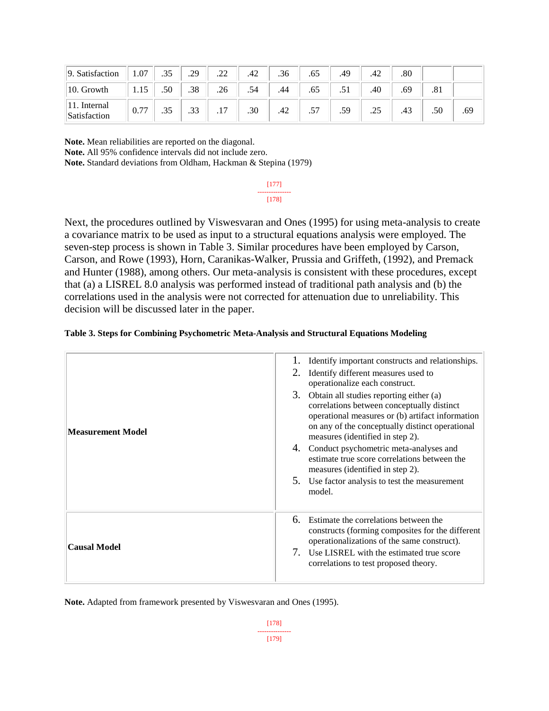| 9. Satisfaction          | .07  | .35 | .29              | $\mathcal{D}$<br>.∠∠  | .42 | .36 | .65       | .49  | .42 | .80 |     |     |
|--------------------------|------|-----|------------------|-----------------------|-----|-----|-----------|------|-----|-----|-----|-----|
| 10. Growth               | 1.15 | .50 | .38              | .26                   | .54 |     | .65       | لا ب | .40 | .69 | .81 |     |
| Internal<br>Satisfaction | 0.77 | .35 | $\bigcap$<br>ن ب | $\overline{7}$<br>. . | .30 | .42 | 57<br>ر., | .59  | .25 | .43 | .50 | .69 |

**Note.** Mean reliabilities are reported on the diagonal. **Note.** All 95% confidence intervals did not include zero.

**Note.** Standard deviations from Oldham, Hackman & Stepina (1979)

[177] --------------- [178]

Next, the procedures outlined by Viswesvaran and Ones (1995) for using meta-analysis to create a covariance matrix to be used as input to a structural equations analysis were employed. The seven-step process is shown in Table 3. Similar procedures have been employed by Carson, Carson, and Rowe (1993), Horn, Caranikas-Walker, Prussia and Griffeth, (1992), and Premack and Hunter (1988), among others. Our meta-analysis is consistent with these procedures, except that (a) a LISREL 8.0 analysis was performed instead of traditional path analysis and (b) the correlations used in the analysis were not corrected for attenuation due to unreliability. This decision will be discussed later in the paper.

|  | Table 3. Steps for Combining Psychometric Meta-Analysis and Structural Equations Modeling |  |  |  |
|--|-------------------------------------------------------------------------------------------|--|--|--|
|  |                                                                                           |  |  |  |
|  |                                                                                           |  |  |  |

| <b>Measurement Model</b> | Identify important constructs and relationships.<br>Identify different measures used to<br>operationalize each construct.<br>3. Obtain all studies reporting either (a)<br>correlations between conceptually distinct<br>operational measures or (b) artifact information<br>on any of the conceptually distinct operational<br>measures (identified in step 2).<br>4. Conduct psychometric meta-analyses and<br>estimate true score correlations between the<br>measures (identified in step 2).<br>5. Use factor analysis to test the measurement<br>model. |
|--------------------------|---------------------------------------------------------------------------------------------------------------------------------------------------------------------------------------------------------------------------------------------------------------------------------------------------------------------------------------------------------------------------------------------------------------------------------------------------------------------------------------------------------------------------------------------------------------|
| <b>Causal Model</b>      | 6. Estimate the correlations between the<br>constructs (forming composites for the different<br>operationalizations of the same construct).<br>7. Use LISREL with the estimated true score<br>correlations to test proposed theory.                                                                                                                                                                                                                                                                                                                           |

**Note.** Adapted from framework presented by Viswesvaran and Ones (1995).

[178] --------------- [179]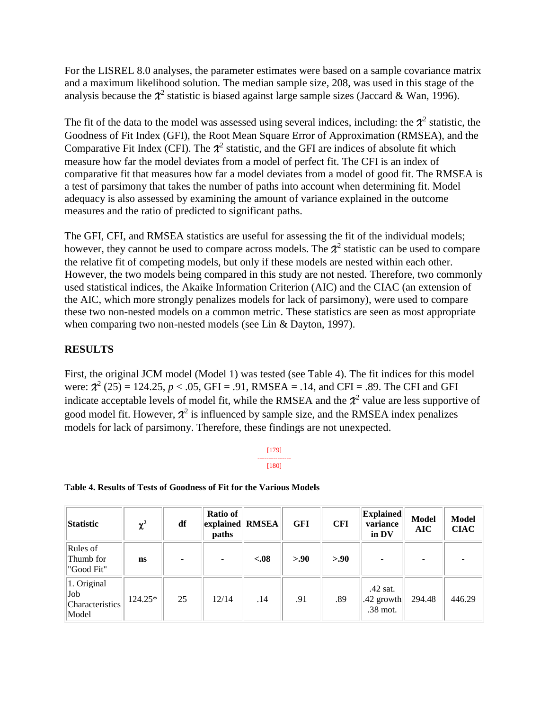For the LISREL 8.0 analyses, the parameter estimates were based on a sample covariance matrix and a maximum likelihood solution. The median sample size, 208, was used in this stage of the analysis because the  $\mathcal{X}^2$  statistic is biased against large sample sizes (Jaccard & Wan, 1996).

The fit of the data to the model was assessed using several indices, including: the  $\mathcal{X}^2$  statistic, the Goodness of Fit Index (GFI), the Root Mean Square Error of Approximation (RMSEA), and the Comparative Fit Index (CFI). The  $\mathcal{X}^2$  statistic, and the GFI are indices of absolute fit which measure how far the model deviates from a model of perfect fit. The CFI is an index of comparative fit that measures how far a model deviates from a model of good fit. The RMSEA is a test of parsimony that takes the number of paths into account when determining fit. Model adequacy is also assessed by examining the amount of variance explained in the outcome measures and the ratio of predicted to significant paths.

The GFI, CFI, and RMSEA statistics are useful for assessing the fit of the individual models; however, they cannot be used to compare across models. The  $\mathcal{X}^2$  statistic can be used to compare the relative fit of competing models, but only if these models are nested within each other. However, the two models being compared in this study are not nested. Therefore, two commonly used statistical indices, the Akaike Information Criterion (AIC) and the CIAC (an extension of the AIC, which more strongly penalizes models for lack of parsimony), were used to compare these two non-nested models on a common metric. These statistics are seen as most appropriate when comparing two non-nested models (see Lin & Dayton, 1997).

# **RESULTS**

First, the original JCM model (Model 1) was tested (see Table 4). The fit indices for this model were:  $\mathcal{X}^2$  (25) = 124.25,  $p < .05$ , GFI = .91, RMSEA = .14, and CFI = .89. The CFI and GFI indicate acceptable levels of model fit, while the RMSEA and the  $\mathcal{X}^2$  value are less supportive of good model fit. However,  $\chi^2$  is influenced by sample size, and the RMSEA index penalizes models for lack of parsimony. Therefore, these findings are not unexpected.

> [179] --------------- [180]

### **Table 4. Results of Tests of Goodness of Fit for the Various Models**

| Statistic                                      | $\chi^2$  | df | Ratio of<br>explained RMSEA<br>paths |        | <b>GFI</b> | <b>CFI</b> | <b>Explained</b><br>variance<br>in DV | <b>Model</b><br><b>AIC</b> | <b>Model</b><br><b>CIAC</b> |
|------------------------------------------------|-----------|----|--------------------------------------|--------|------------|------------|---------------------------------------|----------------------------|-----------------------------|
| Rules of<br>Thumb for<br>"Good Fit"            | <b>ns</b> | ۰  | ٠                                    | $-.08$ | > 0.90     | > 0.90     | $\blacksquare$                        |                            |                             |
| 1. Original<br>Job<br>Characteristics<br>Model | 124.25*   | 25 | 12/14                                | .14    | .91        | .89        | $.42$ sat.<br>.42 growth<br>.38 mot.  | 294.48                     | 446.29                      |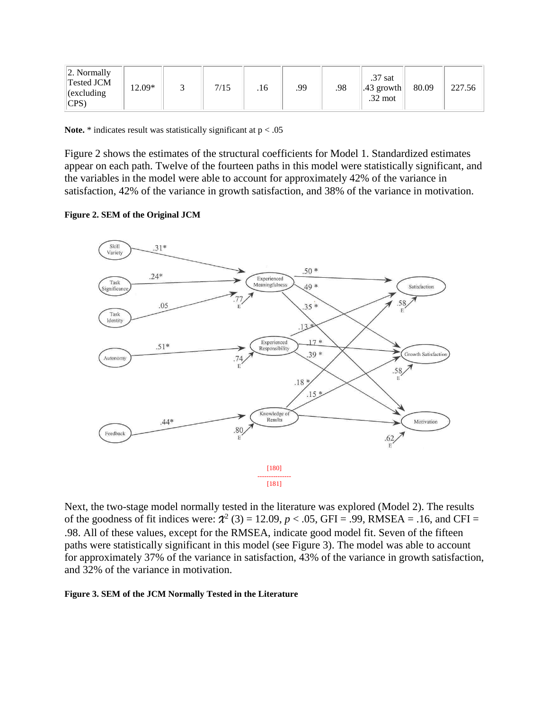| $ 2.$ Normally<br>Tested JCM<br>12.09*<br>$ $ (excluding<br>$ CPS\rangle$ | 7/15<br>.16 | .99 | $.37$ sat<br>.98<br>.43 growth<br>$.32$ mot | 80.09 | 227.56 |
|---------------------------------------------------------------------------|-------------|-----|---------------------------------------------|-------|--------|
|---------------------------------------------------------------------------|-------------|-----|---------------------------------------------|-------|--------|

**Note.**  $*$  indicates result was statistically significant at  $p < .05$ 

Figure 2 shows the estimates of the structural coefficients for Model 1. Standardized estimates appear on each path. Twelve of the fourteen paths in this model were statistically significant, and the variables in the model were able to account for approximately 42% of the variance in satisfaction, 42% of the variance in growth satisfaction, and 38% of the variance in motivation.

#### **Figure 2. SEM of the Original JCM**



Next, the two-stage model normally tested in the literature was explored (Model 2). The results of the goodness of fit indices were:  $\mathcal{X}^2$  (3) = 12.09,  $p < .05$ , GFI = .99, RMSEA = .16, and CFI = .98. All of these values, except for the RMSEA, indicate good model fit. Seven of the fifteen paths were statistically significant in this model (see Figure 3). The model was able to account for approximately 37% of the variance in satisfaction, 43% of the variance in growth satisfaction, and 32% of the variance in motivation.

#### **Figure 3. SEM of the JCM Normally Tested in the Literature**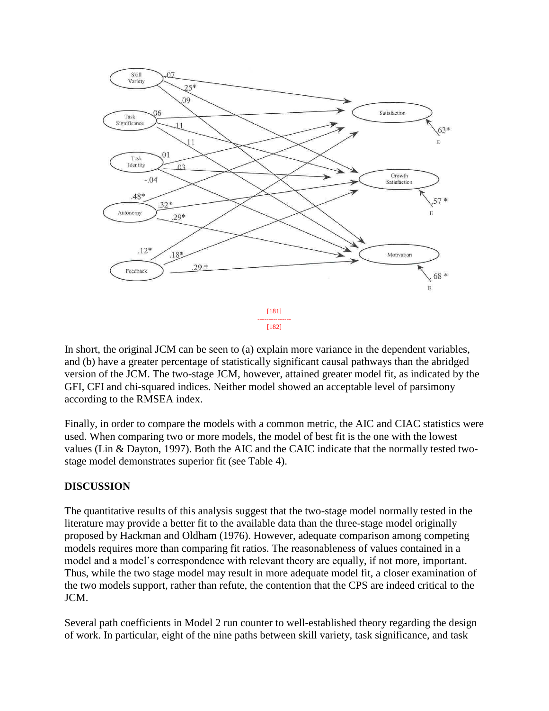

In short, the original JCM can be seen to (a) explain more variance in the dependent variables, and (b) have a greater percentage of statistically significant causal pathways than the abridged version of the JCM. The two-stage JCM, however, attained greater model fit, as indicated by the GFI, CFI and chi-squared indices. Neither model showed an acceptable level of parsimony according to the RMSEA index.

Finally, in order to compare the models with a common metric, the AIC and CIAC statistics were used. When comparing two or more models, the model of best fit is the one with the lowest values (Lin & Dayton, 1997). Both the AIC and the CAIC indicate that the normally tested twostage model demonstrates superior fit (see Table 4).

# **DISCUSSION**

The quantitative results of this analysis suggest that the two-stage model normally tested in the literature may provide a better fit to the available data than the three-stage model originally proposed by Hackman and Oldham (1976). However, adequate comparison among competing models requires more than comparing fit ratios. The reasonableness of values contained in a model and a model's correspondence with relevant theory are equally, if not more, important. Thus, while the two stage model may result in more adequate model fit, a closer examination of the two models support, rather than refute, the contention that the CPS are indeed critical to the JCM.

Several path coefficients in Model 2 run counter to well-established theory regarding the design of work. In particular, eight of the nine paths between skill variety, task significance, and task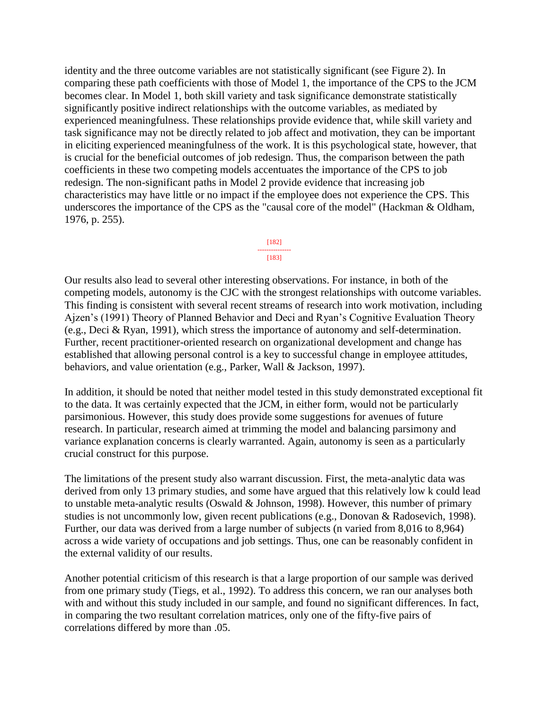identity and the three outcome variables are not statistically significant (see Figure 2). In comparing these path coefficients with those of Model 1, the importance of the CPS to the JCM becomes clear. In Model 1, both skill variety and task significance demonstrate statistically significantly positive indirect relationships with the outcome variables, as mediated by experienced meaningfulness. These relationships provide evidence that, while skill variety and task significance may not be directly related to job affect and motivation, they can be important in eliciting experienced meaningfulness of the work. It is this psychological state, however, that is crucial for the beneficial outcomes of job redesign. Thus, the comparison between the path coefficients in these two competing models accentuates the importance of the CPS to job redesign. The non-significant paths in Model 2 provide evidence that increasing job characteristics may have little or no impact if the employee does not experience the CPS. This underscores the importance of the CPS as the "causal core of the model" (Hackman & Oldham, 1976, p. 255).

#### [182] ---------------  $[183]$

Our results also lead to several other interesting observations. For instance, in both of the competing models, autonomy is the CJC with the strongest relationships with outcome variables. This finding is consistent with several recent streams of research into work motivation, including Ajzen's (1991) Theory of Planned Behavior and Deci and Ryan's Cognitive Evaluation Theory (e.g., Deci & Ryan, 1991), which stress the importance of autonomy and self-determination. Further, recent practitioner-oriented research on organizational development and change has established that allowing personal control is a key to successful change in employee attitudes, behaviors, and value orientation (e.g., Parker, Wall & Jackson, 1997).

In addition, it should be noted that neither model tested in this study demonstrated exceptional fit to the data. It was certainly expected that the JCM, in either form, would not be particularly parsimonious. However, this study does provide some suggestions for avenues of future research. In particular, research aimed at trimming the model and balancing parsimony and variance explanation concerns is clearly warranted. Again, autonomy is seen as a particularly crucial construct for this purpose.

The limitations of the present study also warrant discussion. First, the meta-analytic data was derived from only 13 primary studies, and some have argued that this relatively low k could lead to unstable meta-analytic results (Oswald & Johnson, 1998). However, this number of primary studies is not uncommonly low, given recent publications (e.g., Donovan & Radosevich, 1998). Further, our data was derived from a large number of subjects (n varied from 8,016 to 8,964) across a wide variety of occupations and job settings. Thus, one can be reasonably confident in the external validity of our results.

Another potential criticism of this research is that a large proportion of our sample was derived from one primary study (Tiegs, et al., 1992). To address this concern, we ran our analyses both with and without this study included in our sample, and found no significant differences. In fact, in comparing the two resultant correlation matrices, only one of the fifty-five pairs of correlations differed by more than .05.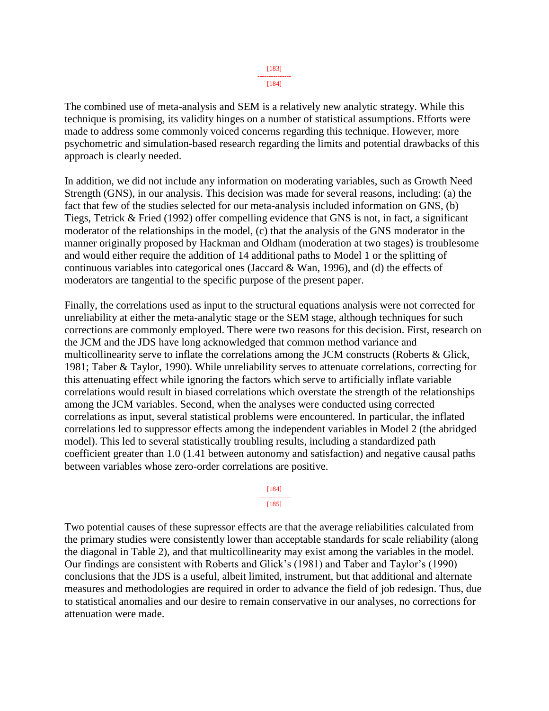[184]

The combined use of meta-analysis and SEM is a relatively new analytic strategy. While this technique is promising, its validity hinges on a number of statistical assumptions. Efforts were made to address some commonly voiced concerns regarding this technique. However, more psychometric and simulation-based research regarding the limits and potential drawbacks of this approach is clearly needed.

In addition, we did not include any information on moderating variables, such as Growth Need Strength (GNS), in our analysis. This decision was made for several reasons, including: (a) the fact that few of the studies selected for our meta-analysis included information on GNS, (b) Tiegs, Tetrick & Fried (1992) offer compelling evidence that GNS is not, in fact, a significant moderator of the relationships in the model, (c) that the analysis of the GNS moderator in the manner originally proposed by Hackman and Oldham (moderation at two stages) is troublesome and would either require the addition of 14 additional paths to Model 1 or the splitting of continuous variables into categorical ones (Jaccard & Wan, 1996), and (d) the effects of moderators are tangential to the specific purpose of the present paper.

Finally, the correlations used as input to the structural equations analysis were not corrected for unreliability at either the meta-analytic stage or the SEM stage, although techniques for such corrections are commonly employed. There were two reasons for this decision. First, research on the JCM and the JDS have long acknowledged that common method variance and multicollinearity serve to inflate the correlations among the JCM constructs (Roberts & Glick, 1981; Taber & Taylor, 1990). While unreliability serves to attenuate correlations, correcting for this attenuating effect while ignoring the factors which serve to artificially inflate variable correlations would result in biased correlations which overstate the strength of the relationships among the JCM variables. Second, when the analyses were conducted using corrected correlations as input, several statistical problems were encountered. In particular, the inflated correlations led to suppressor effects among the independent variables in Model 2 (the abridged model). This led to several statistically troubling results, including a standardized path coefficient greater than 1.0 (1.41 between autonomy and satisfaction) and negative causal paths between variables whose zero-order correlations are positive.

> [184] --------------- [185]

Two potential causes of these supressor effects are that the average reliabilities calculated from the primary studies were consistently lower than acceptable standards for scale reliability (along the diagonal in Table 2), and that multicollinearity may exist among the variables in the model. Our findings are consistent with Roberts and Glick's (1981) and Taber and Taylor's (1990) conclusions that the JDS is a useful, albeit limited, instrument, but that additional and alternate measures and methodologies are required in order to advance the field of job redesign. Thus, due to statistical anomalies and our desire to remain conservative in our analyses, no corrections for attenuation were made.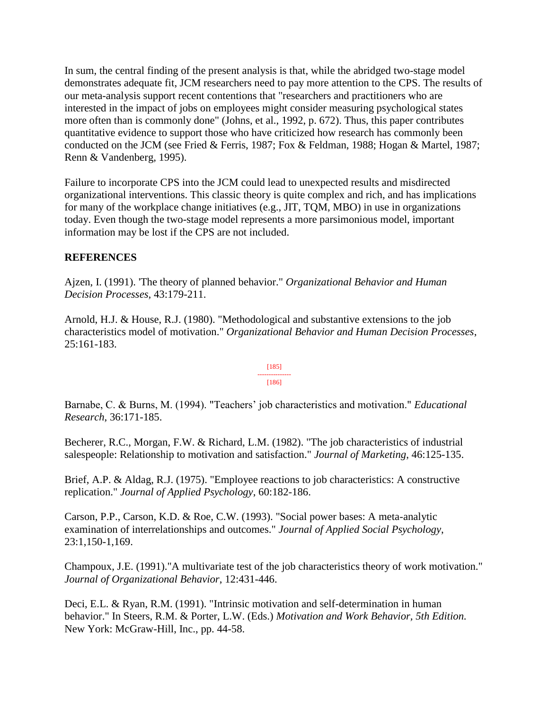In sum, the central finding of the present analysis is that, while the abridged two-stage model demonstrates adequate fit, JCM researchers need to pay more attention to the CPS. The results of our meta-analysis support recent contentions that "researchers and practitioners who are interested in the impact of jobs on employees might consider measuring psychological states more often than is commonly done" (Johns, et al., 1992, p. 672). Thus, this paper contributes quantitative evidence to support those who have criticized how research has commonly been conducted on the JCM (see Fried & Ferris, 1987; Fox & Feldman, 1988; Hogan & Martel, 1987; Renn & Vandenberg, 1995).

Failure to incorporate CPS into the JCM could lead to unexpected results and misdirected organizational interventions. This classic theory is quite complex and rich, and has implications for many of the workplace change initiatives (e.g., JIT, TQM, MBO) in use in organizations today. Even though the two-stage model represents a more parsimonious model, important information may be lost if the CPS are not included.

# **REFERENCES**

Ajzen, I. (1991). 'The theory of planned behavior." *Organizational Behavior and Human Decision Processes,* 43:179-211.

Arnold, H.J. & House, R.J. (1980). "Methodological and substantive extensions to the job characteristics model of motivation." *Organizational Behavior and Human Decision Processes*, 25:161-183.

> [185] --------------- [186]

Barnabe, C. & Burns, M. (1994). "Teachers' job characteristics and motivation." *Educational Research*, 36:171-185.

Becherer, R.C., Morgan, F.W. & Richard, L.M. (1982). "The job characteristics of industrial salespeople: Relationship to motivation and satisfaction." *Journal of Marketing*, 46:125-135.

Brief, A.P. & Aldag, R.J. (1975). "Employee reactions to job characteristics: A constructive replication." *Journal of Applied Psychology*, 60:182-186.

Carson, P.P., Carson, K.D. & Roe, C.W. (1993). "Social power bases: A meta-analytic examination of interrelationships and outcomes." *Journal of Applied Social Psychology*, 23:1,150-1,169.

Champoux, J.E. (1991)."A multivariate test of the job characteristics theory of work motivation." *Journal of Organizational Behavior*, 12:431-446.

Deci, E.L. & Ryan, R.M. (1991). "Intrinsic motivation and self-determination in human behavior." In Steers, R.M. & Porter, L.W. (Eds.) *Motivation and Work Behavior, 5th Edition.* New York: McGraw-Hill, Inc., pp. 44-58.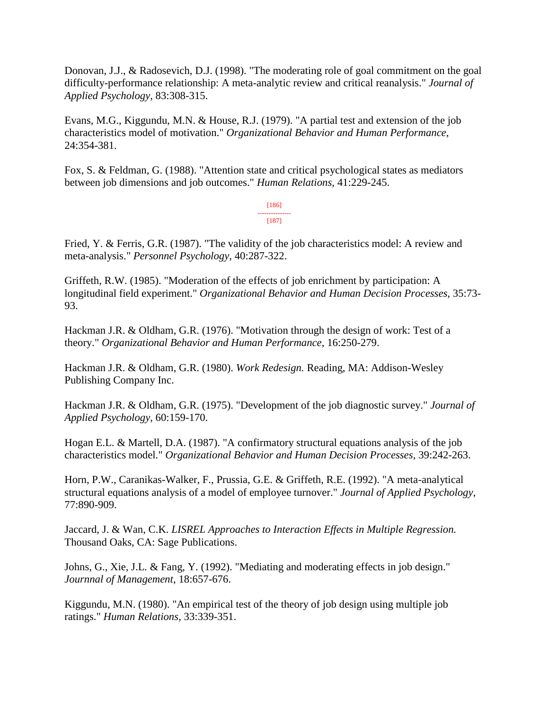Donovan, J.J., & Radosevich, D.J. (1998). "The moderating role of goal commitment on the goal difficulty-performance relationship: A meta-analytic review and critical reanalysis." *Journal of Applied Psychology*, 83:308-315.

Evans, M.G., Kiggundu, M.N. & House, R.J. (1979). "A partial test and extension of the job characteristics model of motivation." *Organizational Behavior and Human Performance*, 24:354-381.

Fox, S. & Feldman, G. (1988). "Attention state and critical psychological states as mediators between job dimensions and job outcomes." *Human Relations*, 41:229-245.

> [186] --------------- [187]

Fried, Y. & Ferris, G.R. (1987). "The validity of the job characteristics model: A review and meta-analysis." *Personnel Psychology*, 40:287-322.

Griffeth, R.W. (1985). "Moderation of the effects of job enrichment by participation: A longitudinal field experiment." *Organizational Behavior and Human Decision Processes*, 35:73- 93.

Hackman J.R. & Oldham, G.R. (1976). "Motivation through the design of work: Test of a theory." *Organizational Behavior and Human Performance*, 16:250-279.

Hackman J.R. & Oldham, G.R. (1980). *Work Redesign.* Reading, MA: Addison-Wesley Publishing Company Inc.

Hackman J.R. & Oldham, G.R. (1975). "Development of the job diagnostic survey." *Journal of Applied Psychology*, 60:159-170.

Hogan E.L. & Martell, D.A. (1987). "A confirmatory structural equations analysis of the job characteristics model." *Organizational Behavior and Human Decision Processes*, 39:242-263.

Horn, P.W., Caranikas-Walker, F., Prussia, G.E. & Griffeth, R.E. (1992). "A meta-analytical structural equations analysis of a model of employee turnover." *Journal of Applied Psychology*, 77:890-909.

Jaccard, J. & Wan, C.K. *LISREL Approaches to Interaction Effects in Multiple Regression.*  Thousand Oaks, CA: Sage Publications.

Johns, G., Xie, J.L. & Fang, Y. (1992). "Mediating and moderating effects in job design." *Journnal of Management*, 18:657-676.

Kiggundu, M.N. (1980). "An empirical test of the theory of job design using multiple job ratings." *Human Relations*, 33:339-351.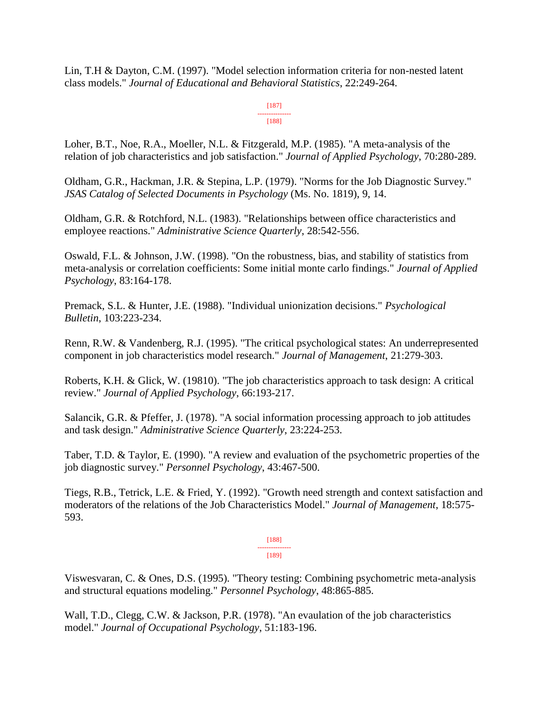Lin, T.H & Dayton, C.M. (1997). "Model selection information criteria for non-nested latent class models." *Journal of Educational and Behavioral Statistics*, 22:249-264.

#### [187] ---------------

[188]

Loher, B.T., Noe, R.A., Moeller, N.L. & Fitzgerald, M.P. (1985). "A meta-analysis of the relation of job characteristics and job satisfaction." *Journal of Applied Psychology*, 70:280-289.

Oldham, G.R., Hackman, J.R. & Stepina, L.P. (1979). "Norms for the Job Diagnostic Survey." *JSAS Catalog of Selected Documents in Psychology* (Ms. No. 1819), 9, 14.

Oldham, G.R. & Rotchford, N.L. (1983). "Relationships between office characteristics and employee reactions." *Administrative Science Quarterly*, 28:542-556.

Oswald, F.L. & Johnson, J.W. (1998). "On the robustness, bias, and stability of statistics from meta-analysis or correlation coefficients: Some initial monte carlo findings." *Journal of Applied Psychology*, 83:164-178.

Premack, S.L. & Hunter, J.E. (1988). "Individual unionization decisions." *Psychological Bulletin*, 103:223-234.

Renn, R.W. & Vandenberg, R.J. (1995). "The critical psychological states: An underrepresented component in job characteristics model research." *Journal of Management*, 21:279-303.

Roberts, K.H. & Glick, W. (19810). "The job characteristics approach to task design: A critical review." *Journal of Applied Psychology*, 66:193-217.

Salancik, G.R. & Pfeffer, J. (1978). "A social information processing approach to job attitudes and task design." *Administrative Science Quarterly*, 23:224-253.

Taber, T.D. & Taylor, E. (1990). "A review and evaluation of the psychometric properties of the job diagnostic survey." *Personnel Psychology*, 43:467-500.

Tiegs, R.B., Tetrick, L.E. & Fried, Y. (1992). "Growth need strength and context satisfaction and moderators of the relations of the Job Characteristics Model." *Journal of Management*, 18:575- 593.

> [188] --------------- [189]

Viswesvaran, C. & Ones, D.S. (1995). "Theory testing: Combining psychometric meta-analysis and structural equations modeling." *Personnel Psychology*, 48:865-885.

Wall, T.D., Clegg, C.W. & Jackson, P.R. (1978). "An evaulation of the job characteristics model." *Journal of Occupational Psychology*, 51:183-196.